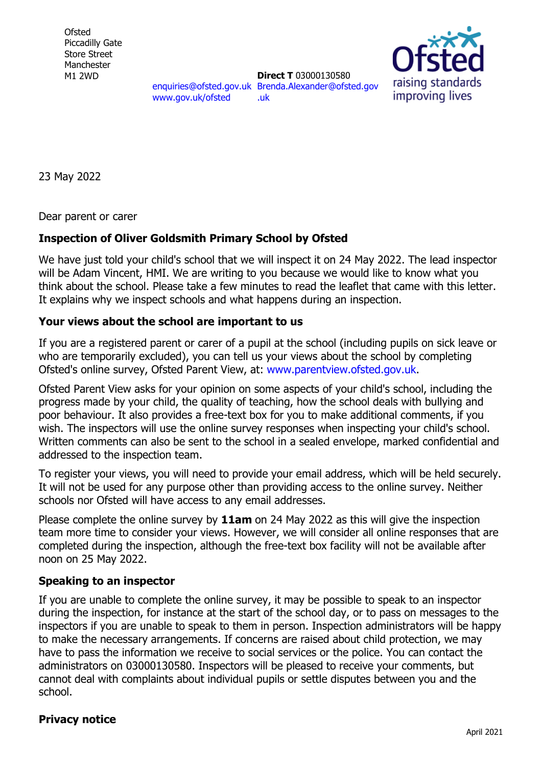**Ofsted** Piccadilly Gate Store Street Manchester M1 2WD

[enquiries@ofsted.gov.uk](mailto:enquiries@ofsted.gov.uk) [Brenda.Alexander@ofsted.gov](mailto:Brenda.Alexander@ofsted.gov.uk) [www.gov.uk/ofsted](http://www.gov.uk/ofsted) **Direct T** 03000130580 [.uk](mailto:Brenda.Alexander@ofsted.gov.uk)



23 May 2022

Dear parent or carer

## **Inspection of Oliver Goldsmith Primary School by Ofsted**

We have just told your child's school that we will inspect it on 24 May 2022. The lead inspector will be Adam Vincent, HMI. We are writing to you because we would like to know what you think about the school. Please take a few minutes to read the leaflet that came with this letter. It explains why we inspect schools and what happens during an inspection.

## **Your views about the school are important to us**

If you are a registered parent or carer of a pupil at the school (including pupils on sick leave or who are temporarily excluded), you can tell us your views about the school by completing Ofsted's online survey, Ofsted Parent View, at: [www.parentview.ofsted.gov.uk.](http://www.parentview.ofsted.gov.uk/)

Ofsted Parent View asks for your opinion on some aspects of your child's school, including the progress made by your child, the quality of teaching, how the school deals with bullying and poor behaviour. It also provides a free-text box for you to make additional comments, if you wish. The inspectors will use the online survey responses when inspecting your child's school. Written comments can also be sent to the school in a sealed envelope, marked confidential and addressed to the inspection team.

To register your views, you will need to provide your email address, which will be held securely. It will not be used for any purpose other than providing access to the online survey. Neither schools nor Ofsted will have access to any email addresses.

Please complete the online survey by **11am** on 24 May 2022 as this will give the inspection team more time to consider your views. However, we will consider all online responses that are completed during the inspection, although the free-text box facility will not be available after noon on 25 May 2022.

## **Speaking to an inspector**

If you are unable to complete the online survey, it may be possible to speak to an inspector during the inspection, for instance at the start of the school day, or to pass on messages to the inspectors if you are unable to speak to them in person. Inspection administrators will be happy to make the necessary arrangements. If concerns are raised about child protection, we may have to pass the information we receive to social services or the police. You can contact the administrators on 03000130580. Inspectors will be pleased to receive your comments, but cannot deal with complaints about individual pupils or settle disputes between you and the school.

## **Privacy notice**